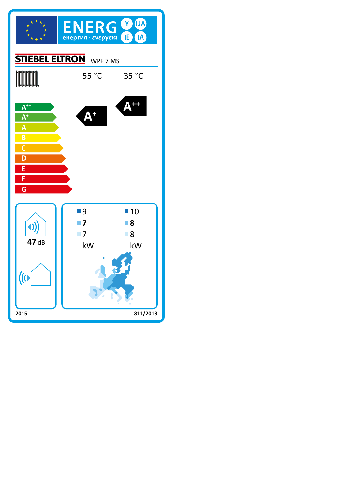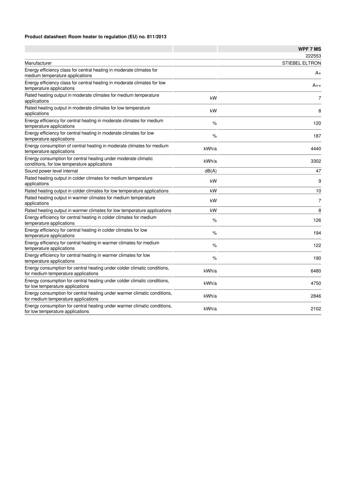## **Product datasheet: Room heater to regulation (EU) no. 811/2013**

|                                                                                                                 |       | <b>WPF 7 MS</b>       |
|-----------------------------------------------------------------------------------------------------------------|-------|-----------------------|
|                                                                                                                 |       | 222553                |
| Manufacturer                                                                                                    |       | <b>STIEBEL ELTRON</b> |
| Energy efficiency class for central heating in moderate climates for<br>medium temperature applications         |       | A+                    |
| Energy efficiency class for central heating in moderate climates for low<br>temperature applications            |       | $A_{++}$              |
| Rated heating output in moderate climates for medium temperature<br>applications                                | kW    | $\overline{7}$        |
| Rated heating output in moderate climates for low temperature<br>applications                                   | kW    | 8                     |
| Energy efficiency for central heating in moderate climates for medium<br>temperature applications               | %     | 120                   |
| Energy efficiency for central heating in moderate climates for low<br>temperature applications                  | %     | 187                   |
| Energy consumption of central heating in moderate climates for medium<br>temperature applications               | kWh/a | 4440                  |
| Energy consumption for central heating under moderate climatic<br>conditions, for low temperature applications  | kWh/a | 3302                  |
| Sound power level internal                                                                                      | dB(A) | 47                    |
| Rated heating output in colder climates for medium temperature<br>applications                                  | kW    | 9                     |
| Rated heating output in colder climates for low temperature applications                                        | kW    | 10                    |
| Rated heating output in warmer climates for medium temperature<br>applications                                  | kW    | $\overline{7}$        |
| Rated heating output in warmer climates for low temperature applications                                        | kW    | 8                     |
| Energy efficiency for central heating in colder climates for medium<br>temperature applications                 | $\%$  | 126                   |
| Energy efficiency for central heating in colder climates for low<br>temperature applications                    | $\%$  | 194                   |
| Energy efficiency for central heating in warmer climates for medium<br>temperature applications                 | $\%$  | 122                   |
| Energy efficiency for central heating in warmer climates for low<br>temperature applications                    | $\%$  | 190                   |
| Energy consumption for central heating under colder climatic conditions,<br>for medium temperature applications | kWh/a | 6480                  |
| Energy consumption for central heating under colder climatic conditions,<br>for low temperature applications    | kWh/a | 4750                  |
| Energy consumption for central heating under warmer climatic conditions,<br>for medium temperature applications | kWh/a | 2846                  |
| Energy consumption for central heating under warmer climatic conditions,<br>for low temperature applications    | kWh/a | 2102                  |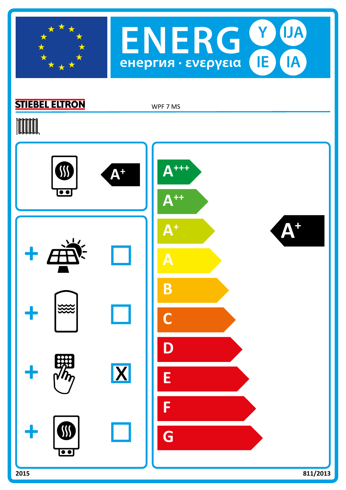



## **STIEBEL ELTRON**

WPF 7 MS

# **TOOTAL**

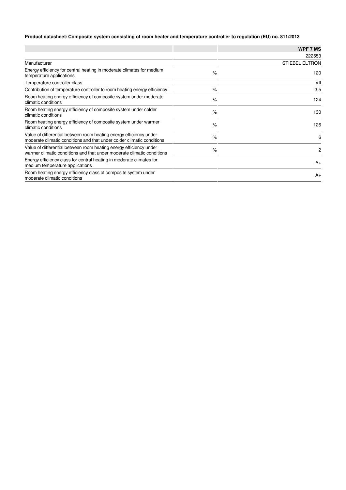## **Product datasheet: Composite system consisting of room heater and temperature controller to regulation (EU) no. 811/2013**

|                                                                                                                                              |      | <b>WPF 7 MS</b>       |
|----------------------------------------------------------------------------------------------------------------------------------------------|------|-----------------------|
|                                                                                                                                              |      | 222553                |
| Manufacturer                                                                                                                                 |      | <b>STIEBEL ELTRON</b> |
| Energy efficiency for central heating in moderate climates for medium<br>temperature applications                                            | $\%$ | 120                   |
| Temperature controller class                                                                                                                 |      | VII                   |
| Contribution of temperature controller to room heating energy efficiency                                                                     | $\%$ | 3,5                   |
| Room heating energy efficiency of composite system under moderate<br>climatic conditions                                                     | $\%$ | 124                   |
| Room heating energy efficiency of composite system under colder<br>climatic conditions                                                       | $\%$ | 130                   |
| Room heating energy efficiency of composite system under warmer<br>climatic conditions                                                       | $\%$ | 126                   |
| Value of differential between room heating energy efficiency under<br>moderate climatic conditions and that under colder climatic conditions | $\%$ | 6                     |
| Value of differential between room heating energy efficiency under<br>warmer climatic conditions and that under moderate climatic conditions | $\%$ | 2                     |
| Energy efficiency class for central heating in moderate climates for<br>medium temperature applications                                      |      | $A_{+}$               |
| Room heating energy efficiency class of composite system under<br>moderate climatic conditions                                               |      | $A_{+}$               |